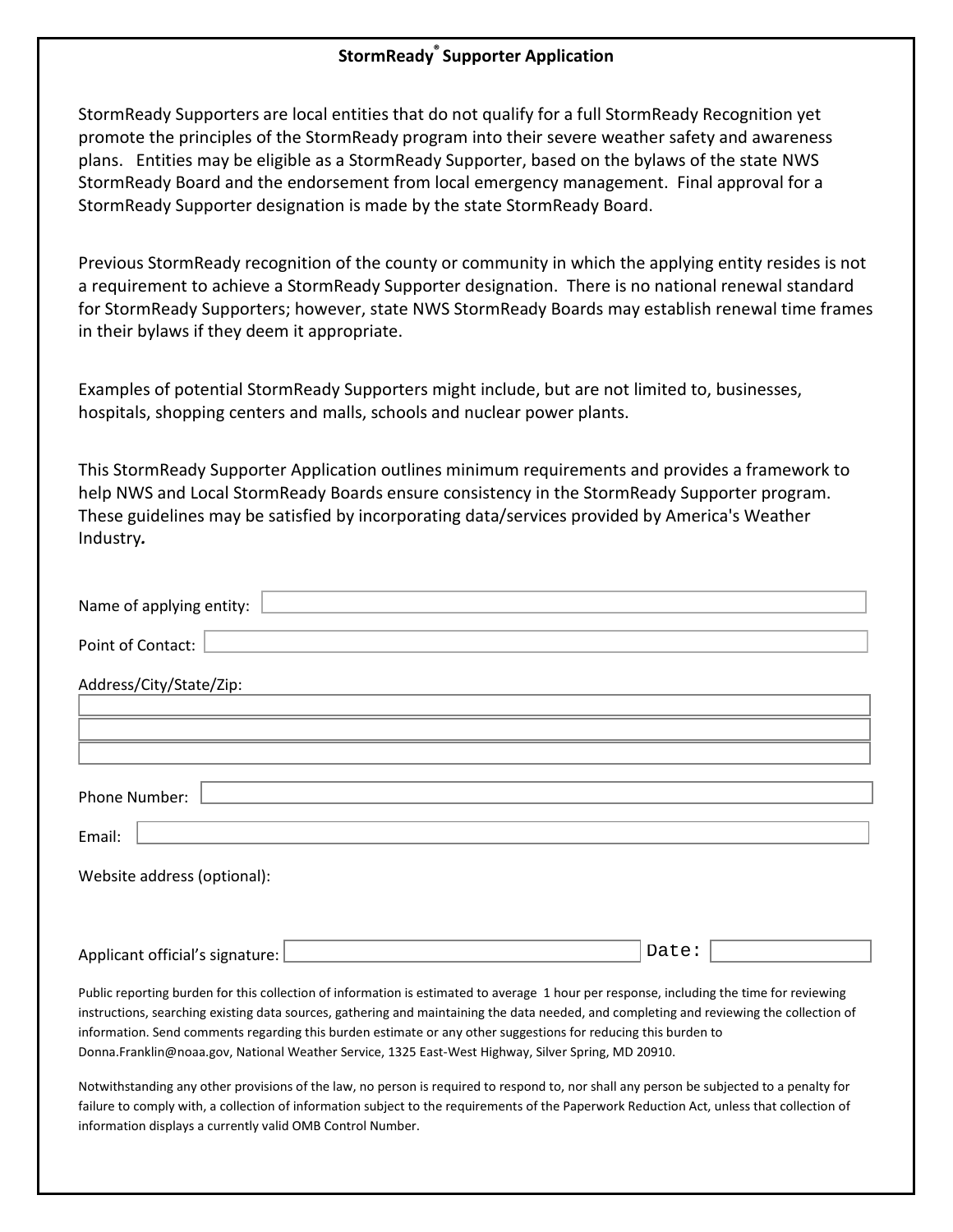## **StormReady® Supporter Application**

StormReady Supporters are local entities that do not qualify for a full StormReady Recognition yet promote the principles of the StormReady program into their severe weather safety and awareness plans. Entities may be eligible as a StormReady Supporter, based on the bylaws of the state NWS StormReady Board and the endorsement from local emergency management. Final approval for a StormReady Supporter designation is made by the state StormReady Board.

Previous StormReady recognition of the county or community in which the applying entity resides is not a requirement to achieve a StormReady Supporter designation. There is no national renewal standard for StormReady Supporters; however, state NWS StormReady Boards may establish renewal time frames in their bylaws if they deem it appropriate.

Examples of potential StormReady Supporters might include, but are not limited to, businesses, hospitals, shopping centers and malls, schools and nuclear power plants.

This StormReady Supporter Application outlines minimum requirements and provides a framework to help NWS and Local StormReady Boards ensure consistency in the StormReady Supporter program. These guidelines may be satisfied by incorporating data/services provided by America's Weather Industry*.*

| Name of applying entity:                                                                                                                                                                                                                                                                                                                                                                                                                                                                                      |  |  |  |  |  |  |  |  |
|---------------------------------------------------------------------------------------------------------------------------------------------------------------------------------------------------------------------------------------------------------------------------------------------------------------------------------------------------------------------------------------------------------------------------------------------------------------------------------------------------------------|--|--|--|--|--|--|--|--|
| Point of Contact:                                                                                                                                                                                                                                                                                                                                                                                                                                                                                             |  |  |  |  |  |  |  |  |
| Address/City/State/Zip:                                                                                                                                                                                                                                                                                                                                                                                                                                                                                       |  |  |  |  |  |  |  |  |
|                                                                                                                                                                                                                                                                                                                                                                                                                                                                                                               |  |  |  |  |  |  |  |  |
|                                                                                                                                                                                                                                                                                                                                                                                                                                                                                                               |  |  |  |  |  |  |  |  |
| Phone Number:                                                                                                                                                                                                                                                                                                                                                                                                                                                                                                 |  |  |  |  |  |  |  |  |
| Email:                                                                                                                                                                                                                                                                                                                                                                                                                                                                                                        |  |  |  |  |  |  |  |  |
| Website address (optional):                                                                                                                                                                                                                                                                                                                                                                                                                                                                                   |  |  |  |  |  |  |  |  |
|                                                                                                                                                                                                                                                                                                                                                                                                                                                                                                               |  |  |  |  |  |  |  |  |
| Date:<br>Applicant official's signature:                                                                                                                                                                                                                                                                                                                                                                                                                                                                      |  |  |  |  |  |  |  |  |
| Public reporting burden for this collection of information is estimated to average 1 hour per response, including the time for reviewing<br>instructions, searching existing data sources, gathering and maintaining the data needed, and completing and reviewing the collection of<br>information. Send comments regarding this burden estimate or any other suggestions for reducing this burden to<br>Donna.Franklin@noaa.gov, National Weather Service, 1325 East-West Highway, Silver Spring, MD 20910. |  |  |  |  |  |  |  |  |

Notwithstanding any other provisions of the law, no person is required to respond to, nor shall any person be subjected to a penalty for failure to comply with, a collection of information subject to the requirements of the Paperwork Reduction Act, unless that collection of information displays a currently valid OMB Control Number.